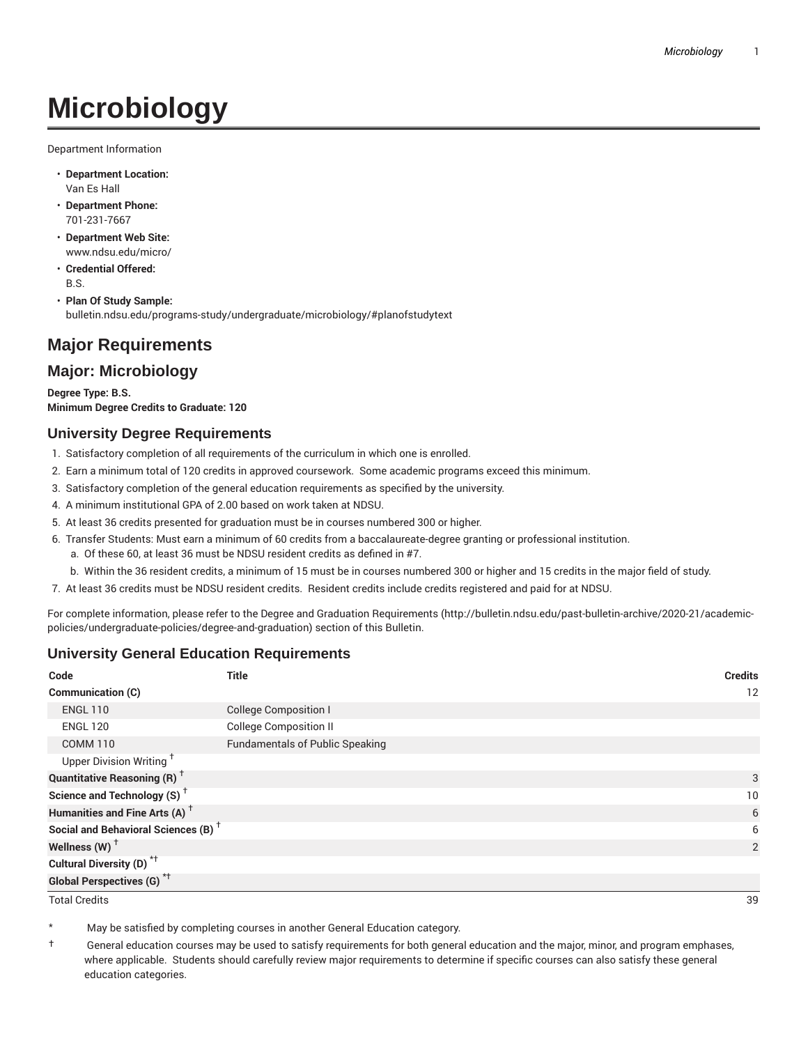# **Microbiology**

Department Information

- **Department Location:** Van Es Hall
- **Department Phone:** 701-231-7667
- **Department Web Site:** www.ndsu.edu/micro/
- **Credential Offered:** B.S.
- **Plan Of Study Sample:** bulletin.ndsu.edu/programs-study/undergraduate/microbiology/#planofstudytext

# **Major Requirements**

### **Major: Microbiology**

**Degree Type: B.S. Minimum Degree Credits to Graduate: 120**

#### **University Degree Requirements**

- 1. Satisfactory completion of all requirements of the curriculum in which one is enrolled.
- 2. Earn a minimum total of 120 credits in approved coursework. Some academic programs exceed this minimum.
- 3. Satisfactory completion of the general education requirements as specified by the university.
- 4. A minimum institutional GPA of 2.00 based on work taken at NDSU.
- 5. At least 36 credits presented for graduation must be in courses numbered 300 or higher.
- 6. Transfer Students: Must earn a minimum of 60 credits from a baccalaureate-degree granting or professional institution.
	- a. Of these 60, at least 36 must be NDSU resident credits as defined in #7.
	- b. Within the 36 resident credits, a minimum of 15 must be in courses numbered 300 or higher and 15 credits in the major field of study.
- 7. At least 36 credits must be NDSU resident credits. Resident credits include credits registered and paid for at NDSU.

For complete information, please refer to the Degree and Graduation Requirements (http://bulletin.ndsu.edu/past-bulletin-archive/2020-21/academicpolicies/undergraduate-policies/degree-and-graduation) section of this Bulletin.

#### **University General Education Requirements**

| Code                                            | <b>Title</b>                           | <b>Credits</b> |
|-------------------------------------------------|----------------------------------------|----------------|
| <b>Communication (C)</b>                        |                                        | 12             |
| <b>ENGL 110</b>                                 | <b>College Composition I</b>           |                |
| <b>ENGL 120</b>                                 | <b>College Composition II</b>          |                |
| <b>COMM 110</b>                                 | <b>Fundamentals of Public Speaking</b> |                |
| Upper Division Writing <sup>+</sup>             |                                        |                |
| <b>Quantitative Reasoning (R)</b> <sup>†</sup>  |                                        | 3              |
| Science and Technology (S) <sup>+</sup>         |                                        | 10             |
| Humanities and Fine Arts (A) <sup>+</sup>       |                                        | 6              |
| Social and Behavioral Sciences (B) <sup>+</sup> |                                        | 6              |
| Wellness $(W)$ <sup>+</sup>                     |                                        | 2              |
| Cultural Diversity (D) <sup>*†</sup>            |                                        |                |
| Global Perspectives (G) <sup>*†</sup>           |                                        |                |

Total Credits 39

May be satisfied by completing courses in another General Education category.

† General education courses may be used to satisfy requirements for both general education and the major, minor, and program emphases, where applicable. Students should carefully review major requirements to determine if specific courses can also satisfy these general education categories.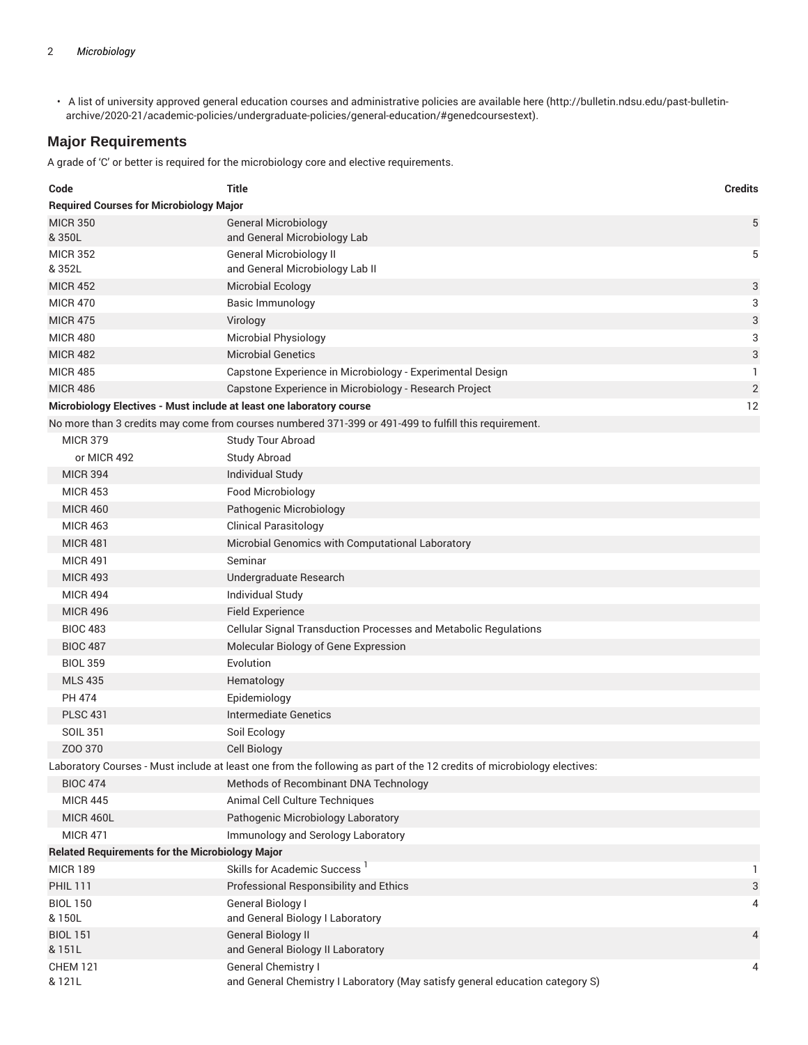• A list of university approved general education courses and administrative policies are available here (http://bulletin.ndsu.edu/past-bulletinarchive/2020-21/academic-policies/undergraduate-policies/general-education/#genedcoursestext).

#### **Major Requirements**

A grade of 'C' or better is required for the microbiology core and elective requirements.

| Code                                                                 | <b>Title</b>                                                                                                           | <b>Credits</b> |
|----------------------------------------------------------------------|------------------------------------------------------------------------------------------------------------------------|----------------|
| <b>Required Courses for Microbiology Major</b>                       |                                                                                                                        |                |
| <b>MICR 350</b><br>& 350L                                            | <b>General Microbiology</b><br>and General Microbiology Lab                                                            | 5              |
| <b>MICR 352</b><br>& 352L                                            | <b>General Microbiology II</b><br>and General Microbiology Lab II                                                      | 5              |
| <b>MICR 452</b>                                                      | <b>Microbial Ecology</b>                                                                                               | 3              |
| <b>MICR 470</b>                                                      | <b>Basic Immunology</b>                                                                                                | 3              |
| <b>MICR 475</b>                                                      | Virology                                                                                                               | 3              |
| <b>MICR 480</b>                                                      | <b>Microbial Physiology</b>                                                                                            | 3              |
| <b>MICR 482</b>                                                      | <b>Microbial Genetics</b>                                                                                              | 3              |
| <b>MICR 485</b>                                                      | Capstone Experience in Microbiology - Experimental Design                                                              | 1              |
| <b>MICR 486</b>                                                      | Capstone Experience in Microbiology - Research Project                                                                 | $\sqrt{2}$     |
| Microbiology Electives - Must include at least one laboratory course |                                                                                                                        | 12             |
|                                                                      | No more than 3 credits may come from courses numbered 371-399 or 491-499 to fulfill this requirement.                  |                |
| <b>MICR 379</b>                                                      | Study Tour Abroad                                                                                                      |                |
| or MICR 492                                                          | <b>Study Abroad</b>                                                                                                    |                |
| <b>MICR 394</b>                                                      | <b>Individual Study</b>                                                                                                |                |
| <b>MICR 453</b>                                                      | Food Microbiology                                                                                                      |                |
| <b>MICR 460</b>                                                      | Pathogenic Microbiology                                                                                                |                |
| <b>MICR 463</b>                                                      | <b>Clinical Parasitology</b>                                                                                           |                |
| <b>MICR 481</b>                                                      | Microbial Genomics with Computational Laboratory                                                                       |                |
| <b>MICR 491</b>                                                      | Seminar                                                                                                                |                |
| <b>MICR 493</b>                                                      | Undergraduate Research                                                                                                 |                |
| <b>MICR 494</b>                                                      | Individual Study                                                                                                       |                |
| <b>MICR 496</b>                                                      | <b>Field Experience</b>                                                                                                |                |
| <b>BIOC 483</b>                                                      | Cellular Signal Transduction Processes and Metabolic Regulations                                                       |                |
| <b>BIOC 487</b>                                                      | Molecular Biology of Gene Expression                                                                                   |                |
| <b>BIOL 359</b>                                                      | Evolution                                                                                                              |                |
| <b>MLS 435</b>                                                       | Hematology                                                                                                             |                |
| <b>PH 474</b>                                                        | Epidemiology                                                                                                           |                |
| <b>PLSC 431</b>                                                      | Intermediate Genetics                                                                                                  |                |
| <b>SOIL 351</b>                                                      | Soil Ecology                                                                                                           |                |
| ZOO 370                                                              | <b>Cell Biology</b>                                                                                                    |                |
|                                                                      | Laboratory Courses - Must include at least one from the following as part of the 12 credits of microbiology electives: |                |
| <b>BIOC 474</b>                                                      | Methods of Recombinant DNA Technology                                                                                  |                |
| <b>MICR 445</b>                                                      | Animal Cell Culture Techniques                                                                                         |                |
| <b>MICR 460L</b>                                                     | Pathogenic Microbiology Laboratory                                                                                     |                |
| <b>MICR 471</b>                                                      | Immunology and Serology Laboratory                                                                                     |                |
| <b>Related Requirements for the Microbiology Major</b>               |                                                                                                                        |                |
| <b>MICR 189</b>                                                      | Skills for Academic Success <sup>1</sup>                                                                               | 1              |
| <b>PHIL 111</b>                                                      | Professional Responsibility and Ethics                                                                                 | 3              |
| <b>BIOL 150</b><br>& 150L                                            | General Biology I<br>and General Biology I Laboratory                                                                  | 4              |
| <b>BIOL 151</b><br>& 151L                                            | <b>General Biology II</b><br>and General Biology II Laboratory                                                         | 4              |
| <b>CHEM 121</b><br>& 121L                                            | General Chemistry I<br>and General Chemistry I Laboratory (May satisfy general education category S)                   | 4              |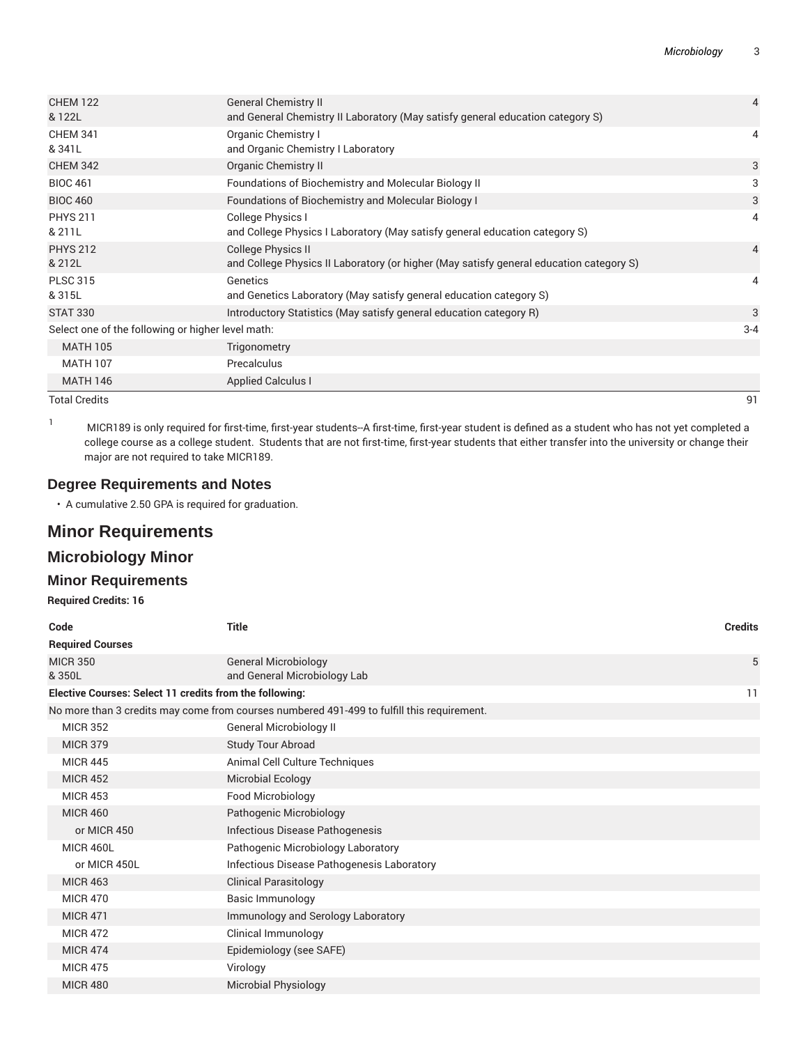| <b>CHEM 122</b><br>& 122L                         | <b>General Chemistry II</b><br>and General Chemistry II Laboratory (May satisfy general education category S) | $\overline{4}$ |
|---------------------------------------------------|---------------------------------------------------------------------------------------------------------------|----------------|
| <b>CHEM 341</b><br>& 341L                         | Organic Chemistry I<br>and Organic Chemistry I Laboratory                                                     | 4              |
| <b>CHEM 342</b>                                   | <b>Organic Chemistry II</b>                                                                                   | 3              |
| <b>BIOC 461</b>                                   | Foundations of Biochemistry and Molecular Biology II                                                          | 3              |
| <b>BIOC 460</b>                                   | <b>Foundations of Biochemistry and Molecular Biology I</b>                                                    | 3              |
| <b>PHYS 211</b>                                   | College Physics I                                                                                             | 4              |
| & 211L                                            | and College Physics I Laboratory (May satisfy general education category S)                                   |                |
| <b>PHYS 212</b>                                   | College Physics II                                                                                            | $\overline{4}$ |
| & 212L                                            | and College Physics II Laboratory (or higher (May satisfy general education category S)                       |                |
| <b>PLSC 315</b>                                   | Genetics                                                                                                      | 4              |
| & 315L                                            | and Genetics Laboratory (May satisfy general education category S)                                            |                |
| <b>STAT 330</b>                                   | Introductory Statistics (May satisfy general education category R)                                            | 3              |
| Select one of the following or higher level math: |                                                                                                               | $3 - 4$        |
| <b>MATH 105</b>                                   | Trigonometry                                                                                                  |                |
| <b>MATH 107</b>                                   | Precalculus                                                                                                   |                |
| <b>MATH 146</b>                                   | <b>Applied Calculus I</b>                                                                                     |                |
|                                                   |                                                                                                               |                |

Total Credits 91

<sup>1</sup> MICR189 is only required for first-time, first-year students--A first-time, first-year student is defined as <sup>a</sup> student who has not yet completed <sup>a</sup> college course as a college student. Students that are not first-time, first-year students that either transfer into the university or change their major are not required to take MICR189.

#### **Degree Requirements and Notes**

• A cumulative 2.50 GPA is required for graduation.

# **Minor Requirements**

## **Microbiology Minor**

#### **Minor Requirements**

**Required Credits: 16**

| Code                                                    | <b>Title</b>                                                                               | <b>Credits</b> |
|---------------------------------------------------------|--------------------------------------------------------------------------------------------|----------------|
| <b>Required Courses</b>                                 |                                                                                            |                |
| <b>MICR 350</b><br>& 350L                               | <b>General Microbiology</b><br>and General Microbiology Lab                                | 5              |
| Elective Courses: Select 11 credits from the following: |                                                                                            | 11             |
|                                                         | No more than 3 credits may come from courses numbered 491-499 to fulfill this requirement. |                |
| <b>MICR 352</b>                                         | <b>General Microbiology II</b>                                                             |                |
| <b>MICR 379</b>                                         | Study Tour Abroad                                                                          |                |
| <b>MICR 445</b>                                         | Animal Cell Culture Techniques                                                             |                |
| <b>MICR 452</b>                                         | <b>Microbial Ecology</b>                                                                   |                |
| <b>MICR 453</b>                                         | Food Microbiology                                                                          |                |
| <b>MICR 460</b>                                         | Pathogenic Microbiology                                                                    |                |
| or MICR 450                                             | Infectious Disease Pathogenesis                                                            |                |
| <b>MICR 460L</b>                                        | Pathogenic Microbiology Laboratory                                                         |                |
| or MICR 450L                                            | Infectious Disease Pathogenesis Laboratory                                                 |                |
| <b>MICR 463</b>                                         | <b>Clinical Parasitology</b>                                                               |                |
| <b>MICR 470</b>                                         | Basic Immunology                                                                           |                |
| <b>MICR 471</b>                                         | Immunology and Serology Laboratory                                                         |                |
| <b>MICR 472</b>                                         | Clinical Immunology                                                                        |                |
| <b>MICR 474</b>                                         | Epidemiology (see SAFE)                                                                    |                |
| <b>MICR 475</b>                                         | Virology                                                                                   |                |
| <b>MICR 480</b>                                         | <b>Microbial Physiology</b>                                                                |                |